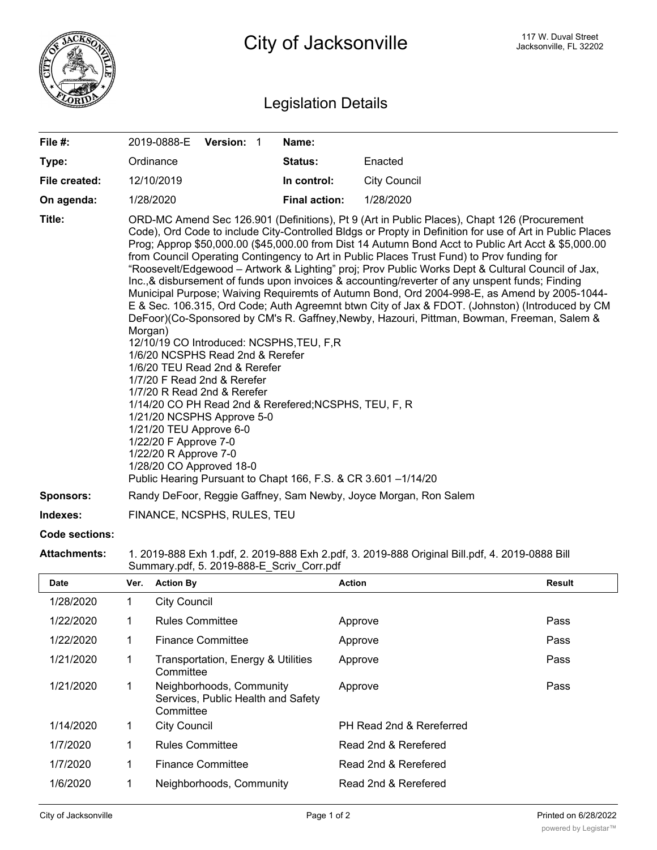

## Legislation Details

| File #:          | 2019-0888-E                                                                                                                                                                                                                                                                                                                                                                                                                                                                                                                                                                                                                                                                                                                                                                                                                                                                                                                                                                                                                                                                                                                                                                                                                                                                                                      | <b>Version: 1</b> |  | Name:                |                     |  |
|------------------|------------------------------------------------------------------------------------------------------------------------------------------------------------------------------------------------------------------------------------------------------------------------------------------------------------------------------------------------------------------------------------------------------------------------------------------------------------------------------------------------------------------------------------------------------------------------------------------------------------------------------------------------------------------------------------------------------------------------------------------------------------------------------------------------------------------------------------------------------------------------------------------------------------------------------------------------------------------------------------------------------------------------------------------------------------------------------------------------------------------------------------------------------------------------------------------------------------------------------------------------------------------------------------------------------------------|-------------------|--|----------------------|---------------------|--|
| Type:            | Ordinance                                                                                                                                                                                                                                                                                                                                                                                                                                                                                                                                                                                                                                                                                                                                                                                                                                                                                                                                                                                                                                                                                                                                                                                                                                                                                                        |                   |  | Status:              | Enacted             |  |
| File created:    | 12/10/2019                                                                                                                                                                                                                                                                                                                                                                                                                                                                                                                                                                                                                                                                                                                                                                                                                                                                                                                                                                                                                                                                                                                                                                                                                                                                                                       |                   |  | In control:          | <b>City Council</b> |  |
| On agenda:       | 1/28/2020                                                                                                                                                                                                                                                                                                                                                                                                                                                                                                                                                                                                                                                                                                                                                                                                                                                                                                                                                                                                                                                                                                                                                                                                                                                                                                        |                   |  | <b>Final action:</b> | 1/28/2020           |  |
| Title:           | ORD-MC Amend Sec 126.901 (Definitions), Pt 9 (Art in Public Places), Chapt 126 (Procurement<br>Code), Ord Code to include City-Controlled Bldgs or Propty in Definition for use of Art in Public Places<br>Prog; Approp \$50,000.00 (\$45,000.00 from Dist 14 Autumn Bond Acct to Public Art Acct & \$5,000.00<br>from Council Operating Contingency to Art in Public Places Trust Fund) to Prov funding for<br>"Roosevelt/Edgewood - Artwork & Lighting" proj; Prov Public Works Dept & Cultural Council of Jax,<br>Inc., & disbursement of funds upon invoices & accounting/reverter of any unspent funds; Finding<br>Municipal Purpose; Waiving Requiremts of Autumn Bond, Ord 2004-998-E, as Amend by 2005-1044-<br>E & Sec. 106.315, Ord Code; Auth Agreemnt btwn City of Jax & FDOT. (Johnston) (Introduced by CM<br>DeFoor)(Co-Sponsored by CM's R. Gaffney, Newby, Hazouri, Pittman, Bowman, Freeman, Salem &<br>Morgan)<br>12/10/19 CO Introduced: NCSPHS, TEU, F, R<br>1/6/20 NCSPHS Read 2nd & Rerefer<br>1/6/20 TEU Read 2nd & Rerefer<br>1/7/20 F Read 2nd & Rerefer<br>1/7/20 R Read 2nd & Rerefer<br>1/14/20 CO PH Read 2nd & Rerefered; NCSPHS, TEU, F, R<br>1/21/20 NCSPHS Approve 5-0<br>1/21/20 TEU Approve 6-0<br>1/22/20 F Approve 7-0<br>1/22/20 R Approve 7-0<br>1/28/20 CO Approved 18-0 |                   |  |                      |                     |  |
| <b>Sponsors:</b> | Randy DeFoor, Reggie Gaffney, Sam Newby, Joyce Morgan, Ron Salem                                                                                                                                                                                                                                                                                                                                                                                                                                                                                                                                                                                                                                                                                                                                                                                                                                                                                                                                                                                                                                                                                                                                                                                                                                                 |                   |  |                      |                     |  |
| Indexes:         | FINANCE, NCSPHS, RULES, TEU                                                                                                                                                                                                                                                                                                                                                                                                                                                                                                                                                                                                                                                                                                                                                                                                                                                                                                                                                                                                                                                                                                                                                                                                                                                                                      |                   |  |                      |                     |  |
| Code sections:   |                                                                                                                                                                                                                                                                                                                                                                                                                                                                                                                                                                                                                                                                                                                                                                                                                                                                                                                                                                                                                                                                                                                                                                                                                                                                                                                  |                   |  |                      |                     |  |

## **Attachments:** 1. 2019-888 Exh 1.pdf, 2. 2019-888 Exh 2.pdf, 3. 2019-888 Original Bill.pdf, 4. 2019-0888 Bill Summary.pdf, 5. 2019-888-E\_Scriv\_Corr.pdf

| <b>Date</b> | Ver. | <b>Action By</b>                                                            | <b>Action</b>            | <b>Result</b> |
|-------------|------|-----------------------------------------------------------------------------|--------------------------|---------------|
| 1/28/2020   |      | <b>City Council</b>                                                         |                          |               |
| 1/22/2020   |      | <b>Rules Committee</b>                                                      | Approve                  | Pass          |
| 1/22/2020   |      | Finance Committee                                                           | Approve                  | Pass          |
| 1/21/2020   |      | Transportation, Energy & Utilities<br>Committee                             | Approve                  | Pass          |
| 1/21/2020   |      | Neighborhoods, Community<br>Services, Public Health and Safety<br>Committee | Approve                  | Pass          |
| 1/14/2020   |      | <b>City Council</b>                                                         | PH Read 2nd & Rereferred |               |
| 1/7/2020    | 1    | <b>Rules Committee</b>                                                      | Read 2nd & Rerefered     |               |
| 1/7/2020    | 1    | Finance Committee                                                           | Read 2nd & Rerefered     |               |
| 1/6/2020    |      | Neighborhoods, Community                                                    | Read 2nd & Rerefered     |               |

Committee of the Committee of the Committee of the Committee of the Committee of the Committee of the Committee